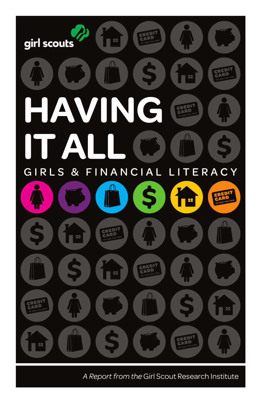

A Report from the Girl Scout Research Institute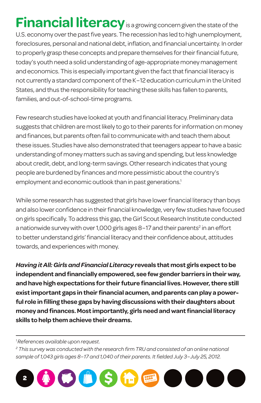**Financial literacy** is a growing concern given the state of the U.S. economy over the past five years. The recession has led to high unemployment, foreclosures, personal and national debt, inflation, and financial uncertainty. In order to properly grasp these concepts and prepare themselves for their financial future, today's youth need a solid understanding of age-appropriate money management and economics. This is especially important given the fact that financial literacy is not currently a standard component of the K−12 education curriculum in the United States, and thus the responsibility for teaching these skills has fallen to parents, families, and out-of-school-time programs.

Few research studies have looked at youth and financial literacy. Preliminary data suggests that children are most likely to go to their parents for information on money and finances, but parents often fail to communicate with and teach them about these issues. Studies have also demonstrated that teenagers appear to have a basic understanding of money matters such as saving and spending, but less knowledge about credit, debt, and long-term savings. Other research indicates that young people are burdened by finances and more pessimistic about the country's employment and economic outlook than in past generations.<sup>1</sup>

While some research has suggested that girls have lower financial literacy than boys and also lower confidence in their financial knowledge, very few studies have focused on girls specifically. To address this gap, the Girl Scout Research Institute conducted a nationwide survey with over 1,000 girls ages 8-17 and their parents<sup>2</sup> in an effort to better understand girls' financial literacy and their confidence about, attitudes towards, and experiences with money.

*Having it All: Girls and Financial Literacy* **reveals that most girls expect to be independent and financially empowered, see few gender barriers in their way, and have high expectations for their future financial lives. However, there still exist important gaps in their financial acumen, and parents can play a powerful role in filling these gaps by having discussions with their daughters about money and finances. Most importantly, girls need and want financial literacy skills to help them achieve their dreams.**

*1 References available upon request.*

<sup>2</sup> This survey was conducted with the research firm TRU and consisted of an online national *sample of 1,043 girls ages 8−17 and 1,040 of their parents. It fielded July 3−July 25, 2012.*

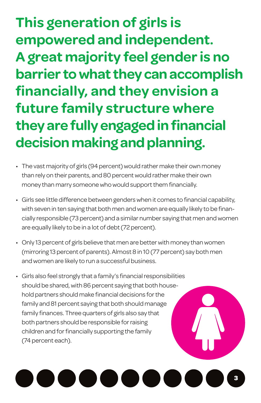**This generation of girls is empowered and independent. A great majority feel gender is no barrier to what they can accomplish financially, and they envision a future family structure where they are fully engaged in financial decision making and planning.**

- The vast majority of girls (94 percent) would rather make their own money than rely on their parents, and 80 percent would rather make their own money than marry someone who would support them financially.
- • Girls see little difference between genderswhen it comes to financial capability, with seven in ten saying that both men and women are equally likely to be financially responsible (73 percent) and a similar number saying that men andwomen are equally likely to be in a lot of debt (72 percent).
- Only 13 percent of girls believe that men are better with money than women (mirroring 13 percent of parents). Almost 8 in 10 (77 percent) say both men and women are likely to run a successful business.
- Girls also feel strongly that a family's financial responsibilities should be shared, with 86 percent saying that both household partners should make financial decisions for the family and 81 percent saying that both should manage family finances. Three quarters of girls also say that both partners should be responsible for raising children and for financially supporting the family (74 percent each).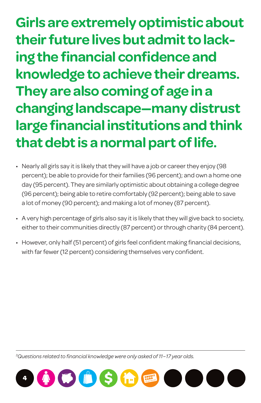**Girls are extremely optimistic about their future lives but admit to lacking the financial confidence and knowledge to achieve their dreams. They are also coming of age in a changing landscape—many distrust large financial institutions and think that debt is a normal part of life.**

- Nearly all girls say it is likely that they will have a job or career they enjoy (98 percent); be able to provide for their families (96 percent); and own a home one day (95 percent). They are similarly optimistic about obtaining a college degree (96 percent); being able to retire comfortably (92 percent); being able to save a lot of money (90 percent); and making a lot of money (87 percent).
- A very high percentage of girls also say it is likely that they will give back to society, either to their communities directly (87 percent) or through charity (84 percent).
- However, only half (51 percent) of girls feel confident making financial decisions, with far fewer (12 percent) considering themselves very confident.

*3 Questions related to financial knowledge were only asked of 11−17 year olds.*

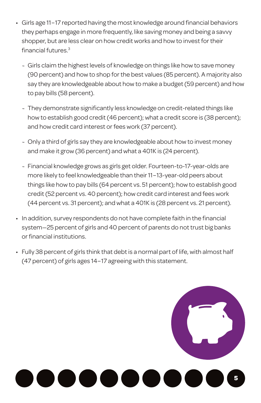- • Girls age 11−17 reported having the most knowledge around financial behaviors they perhaps engage in more frequently, like saving money and being a savvy shopper, but are less clear on how credit works and how to invest for their financial futures.<sup>3</sup>
	- ~ Girls claim the highest levels of knowledge on things like how to save money (90 percent) and how to shop forthe best values (85 percent). A majority also say they are knowledgeable about how to make a budget(59 percent) and how to pay bills (58 percent).
	- ~ They demonstrate significantly less knowledge on credit-related things like how to establish good credit (46 percent); what a credit score is (38 percent); and how credit card interest or fees work (37 percent).
	- ~ Only a third of girls say they are knowledgeable about how to invest money and make it grow (36 percent) and what a 401K is (24 percent).
	- ~ Financial knowledge grows as girls get older. Fourteen-to-17-year-olds are more likely to feel knowledgeable than their 11-13-year-old peers about things like how to pay bills (64 percent vs. 51 percent); how to establish good credit(52 percent vs. 40 percent); how credit card interest and fees work (44 percent vs. 31 percent); and what a 401K is (28 percent vs. 21 percent).
- In addition, survey respondents do not have complete faith in the financial system-25 percent of girls and 40 percent of parents do not trust big banks or financial institutions.
- Fully 38 percent of girls think that debt is a normal part of life, with almost half (47 percent) of girls ages 14−17 agreeing with this statement.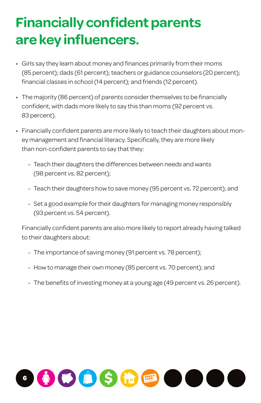## **Financially confident parents are key influencers.**

- Girls say they learn about money and finances primarily from their moms (85 percent); dads (61 percent); teachers or guidance counselors (20 percent); financial classes in school (14 percent); and friends (12 percent).
- The majority (86 percent) of parents consider themselves to be financially confident, with dads more likely to say this than moms (92 percent vs. 83 percent).
- • Financially confident parents are more likely to teach their daughters about money management and financial literacy. Specifically, they are more likely than non-confident parents to say that they:
	- ~ Teach their daughters the differences between needs and wants (98 percent vs. 82 percent);
	- ~ Teach their daughters how to save money (95 percent vs. 72 percent); and
	- ~ Set a good example for their daughters for managing money responsibly (93 percent vs. 54 percent).

 Financially confident parents are also more likely to report already having talked to their daughters about:

- ~ The importance of saving money (91 percent vs. 78 percent);
- ~ How to manage their own money (85 percent vs. 70 percent); and
- $\sim$  The benefits of investing money at a young age (49 percent vs. 26 percent).

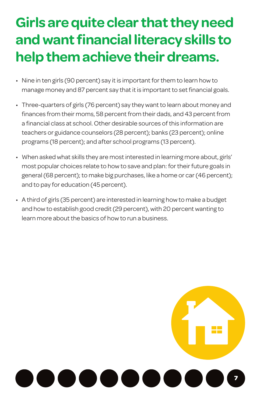## **Girls are quite clear that they need and want financial literacy skills to help them achieve their dreams.**

- Nine in ten girls (90 percent) say it is important for them to learn how to manage money and 87 percent say that it is important to set financial goals.
- Three-quarters of girls (76 percent) say they want to learn about money and finances from their moms, 58 percent from their dads, and 43 percent from a financial class at school. Other desirable sources of this information are teachers or guidance counselors (28 percent); banks (23 percent); online programs (18 percent); and after school programs (13 percent).
- When asked what skills they are most interested in learning more about, girls' most popular choices relate to how to save and plan: for their future goals in general (68 percent); to make big purchases, like a home or car (46 percent); and to pay for education (45 percent).
- A third of girls (35 percent) are interested in learning how to make a budget and how to establish good credit (29 percent), with 20 percent wanting to learn more about the basics of how to run a business.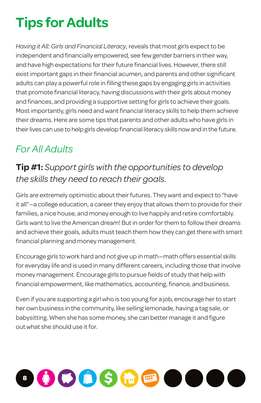## **Tips for Adults**

*Having it All: Girls and Financial Literacy*, reveals that most girls expect to be independent and financially empowered, see few gender barriers in their way, and have high expectations for their future financial lives. However, there still exist important gaps in their financial acumen, and parents and other significant adults can play a powerful role in filling these gaps by engaging girls in activities that promote financial literacy, having discussions with their girls about money and finances, and providing a supportive setting for girls to achieve their goals. Most importantly, girls need and want financial literacy skills to help them achieve their dreams. Here are some tips that parents and other adults who have girls in their lives can use to help girls develop financial literacy skills now and in the future.

### *For All Adults*

#### **Tip #1:** *Support girls with the opportunities to develop the skills they need to reach their goals.*

Girls are extremely optimistic about their futures. They want and expect to "have it all"-a college education, a career they enjoy that allows them to provide for their families, a nice house, and money enough to live happily and retire comfortably. Girls want to live the American dream! But in order for them to follow their dreams and achieve their goals, adults must teach them how they can get there with smart financial planning and money management.

Encourage girls to work hard and not give up in math—math offers essential skills for everyday life and is used in many different careers, including those that involve money management. Encourage girls to pursue fields of study that help with financial empowerment, like mathematics, accounting, finance, and business.

Even if you are supporting a girl who is too young for a job, encourage herto start her own business in the community, like selling lemonade, having a tag sale, or babysitting. When she has some money, she can better manage it and figure out what she should use it for.

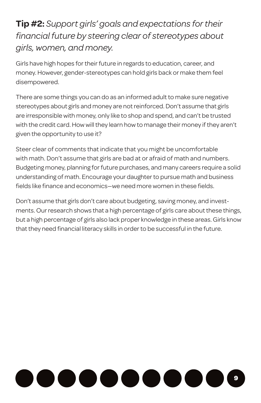#### **Tip #2:** *Support girls' goals and expectations for their financial future by steering clear of stereotypes about girls, women, and money.*

Girls have high hopes for their future in regards to education, career, and money. However, gender-stereotypes can hold girls back or make them feel disempowered.

There are some things you can do as an informed adult to make sure negative stereotypes about girls and money are not reinforced. Don't assume that girls are irresponsible with money, only like to shop and spend, and can't be trusted with the credit card. How will they learn how to manage their money if they aren't given the opportunity to use it?

Steer clear of comments that indicate that you might be uncomfortable with math. Don't assume that girls are bad at or afraid of math and numbers. Budgeting money, planning for future purchases, and many careers require a solid understanding of math. Encourage your daughter to pursue math and business fields like finance and economics—we need more women in these fields.

Don't assume that girls don't care about budgeting, saving money, and investments. Our research shows that a high percentage of girls care about these things, but a high percentage of girls also lack proper knowledge in these areas. Girls know that they need financial literacy skills in order to be successful in the future.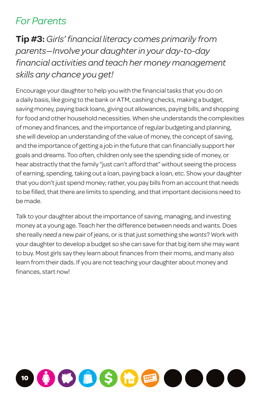#### *For Parents*

**Tip #3:** *Girls' financial literacy comes primarily from parents—Involve your daughter in your day-to-day financial activities and teach her money management skills any chance you get!*

Encourage your daughter to help you with the financial tasks that you do on a daily basis, like going to the bank or ATM, cashing checks, making a budget, saving money, paying back loans, giving out allowances, paying bills, and shopping for food and other household necessities. When she understands the complexities of money and finances, and the importance of regular budgeting and planning, she will develop an understanding of the value of money, the concept of saving, and the importance of getting a job in the future that can financially support her goals and dreams. Too often, children only see the spending side of money, or hear abstractly that the family "just can't afford that" without seeing the process of earning, spending, taking out a loan, paying back a loan, etc. Show your daughter that you don't just spend money; rather, you pay bills from an account that needs to be filled, that there are limits to spending, and that important decisions need to be made.

Talk to your daughter about the importance of saving, managing, and investing money at a young age. Teach her the difference between needs and wants. Does she really *need* a new pair of jeans, or is thatjust something she*wants*? Work with your daughter to develop a budget so she can save for that big item she may want to buy. Most girls say they learn about finances from their moms, and many also learn from their dads. If you are not teaching your daughter about money and finances, start now!

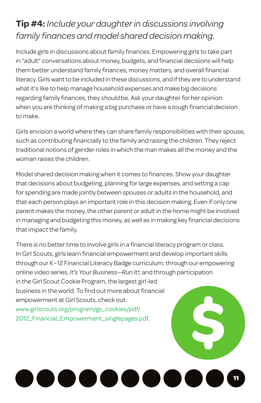### **Tip #4:** *Include your daughter in discussions involving family finances and model shared decision making.*

Include girls in discussions about family finances. Empowering girls to take part in "adult" conversations about money, budgets, and financial decisions will help them better understand family finances, money matters, and overall financial literacy. Girls want to be included in these discussions, and if they are to understand what it's like to help manage household expenses and make big decisions regarding family finances, they *should* be. Ask your daughter for her opinion when you are thinking of making a big purchase or have a tough financial decision to make.

Girls envision a world where they can share family responsibilities with their spouse, such as contributing financially to the family and raising the children. They reject traditional notions of gender roles in which the man makes all the money and the woman raises the children.

Model shared decision making when it comes to finances. Show your daughter that decisions about budgeting, planning for large expenses, and setting a cap for spending are made jointly between spouses or adults in the household, and that each person plays an important role in this decision making. Even if only one parent makes the money, the other parent or adult in the home might be involved in managing and budgeting this money, as well as in making key financial decisions that impact the family.

There is no better time to involve girls in a financial literacy program or class. In Girl Scouts, girls learn financial empowerment and develop important skills through our K-12 Financial Literacy Badge curriculum; through our empowering online video series, *It's Your Business—Run It!*; and through participation in the Girl Scout Cookie Program, the largest girl-led business in the world. To find out more about financial empowerment at Girl Scouts, check out: [www.girlscouts.org/program/gs\\_cookies/pdf/](http://www.girlscouts.org/program/gs_cookies/pdf/2012_Financial_Empowerment_singlepages.pdf) [2012\\_Financial\\_Empowerment\\_singlepages.pdf.](http://www.girlscouts.org/program/gs_cookies/pdf/2012_Financial_Empowerment_singlepages.pdf)